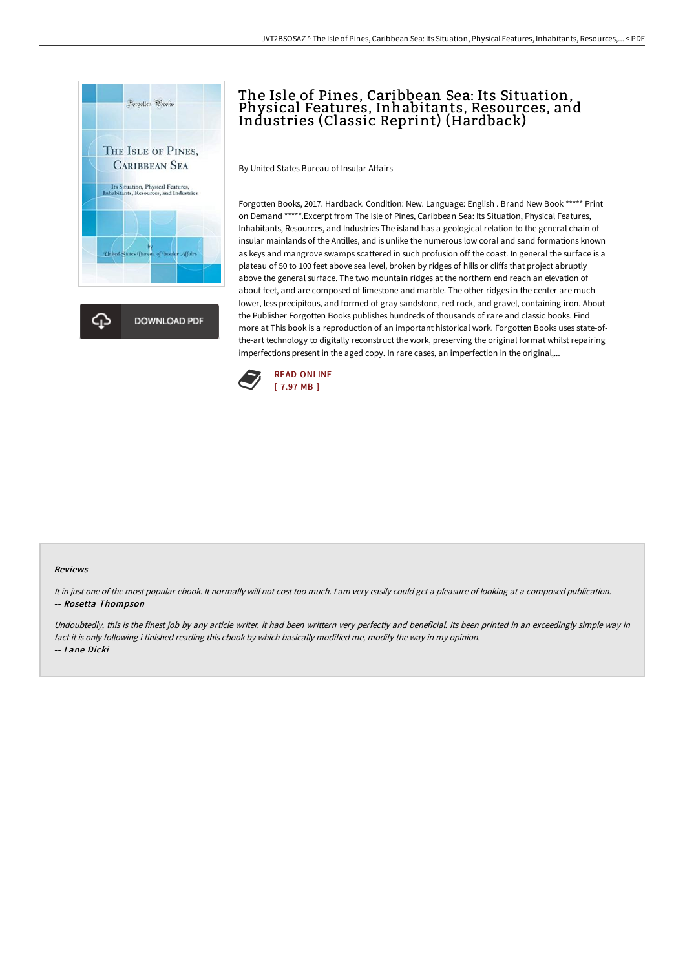

## The Isle of Pines, Caribbean Sea: Its Situation, Physical Features, Inhabitants, Resources, and Industries (Classic Reprint) (Hardback)

By United States Bureau of Insular Affairs

Forgotten Books, 2017. Hardback. Condition: New. Language: English . Brand New Book \*\*\*\*\* Print on Demand \*\*\*\*\*.Excerpt from The Isle of Pines, Caribbean Sea: Its Situation, Physical Features, Inhabitants, Resources, and Industries The island has a geological relation to the general chain of insular mainlands of the Antilles, and is unlike the numerous low coral and sand formations known as keys and mangrove swamps scattered in such profusion off the coast. In general the surface is a plateau of 50 to 100 feet above sea level, broken by ridges of hills or cliffs that project abruptly above the general surface. The two mountain ridges at the northern end reach an elevation of about feet, and are composed of limestone and marble. The other ridges in the center are much lower, less precipitous, and formed of gray sandstone, red rock, and gravel, containing iron. About the Publisher Forgotten Books publishes hundreds of thousands of rare and classic books. Find more at This book is a reproduction of an important historical work. Forgotten Books uses state-ofthe-art technology to digitally reconstruct the work, preserving the original format whilst repairing imperfections present in the aged copy. In rare cases, an imperfection in the original,...



## Reviews

It in just one of the most popular ebook. It normally will not cost too much. <sup>I</sup> am very easily could get <sup>a</sup> pleasure of looking at <sup>a</sup> composed publication. -- Rosetta Thompson

Undoubtedly, this is the finest job by any article writer. it had been writtern very perfectly and beneficial. Its been printed in an exceedingly simple way in fact it is only following i finished reading this ebook by which basically modified me, modify the way in my opinion. -- Lane Dicki